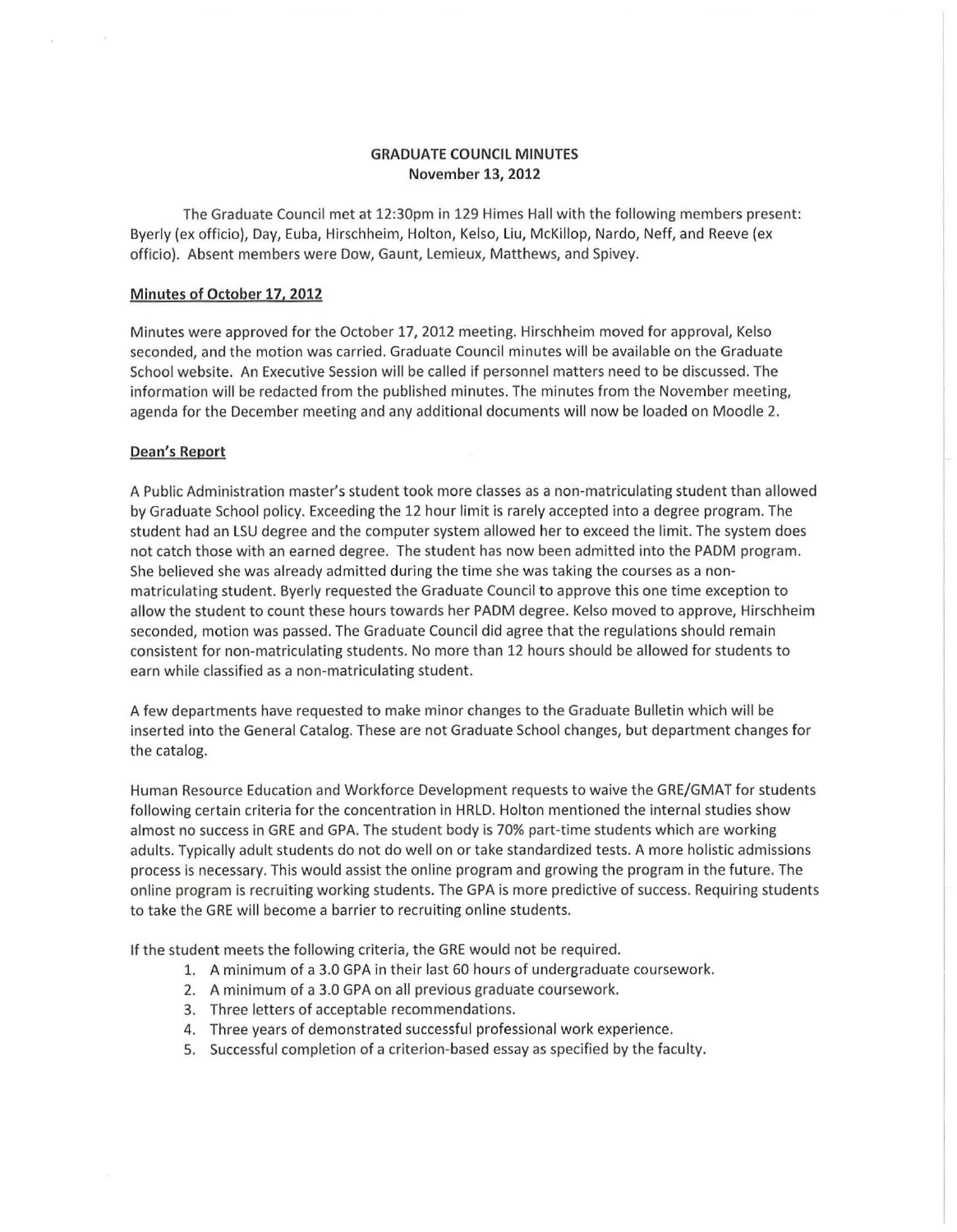# **GRADUATE COUNCIL MINUTES November 13, 2012**

The Graduate Council met at 12:30pm in 129 Himes Hall with the following members present: Byerly (ex officio), Day, Euba, Hirsch heim, Holton, Kelso, Liu, McKillop, Nardo, Neff, and Reeve (ex officio). Absent members were Dow, Gaunt, Lemieux, Matthews, and Spivey.

# **Minutes of October 17. 2012**

Minutes were approved for the October 17, 2012 meeting. Hirschheim moved for approval, Kelso seconded, and the motion was carried. Graduate Council minutes will be available on the Graduate School website. An Executive Session will be called if personnel matters need to be discussed. The information will be redacted from the published minutes. The minutes from the November meeting, agenda for the December meeting and any additional documents will now be loaded on Moodie 2.

# **Dean's Report**

A Public Administration master's student took more classes as a non-matriculating student than allowed by Graduate School policy. Exceeding the 12 hour limit is rarely accepted into a degree program. The student had an LSU degree and the computer system allowed her to exceed the limit. The system does not catch those with an earned degree. The student has now been admitted into the PADM program. She believed she was already admitted during the time she was taking the courses as a nonmatriculating student. Byerly requested the Graduate Council to approve this one time exception to allow the student to count these hours towards her PADM degree. Kelso moved to approve, Hirschheim seconded, motion was passed. The Graduate Council did agree that the regulations should remain consistent for non-matriculating students. No more than 12 hours should be allowed for students to earn while classified as a non-matriculating student.

A few departments have requested to make minor changes to the Graduate Bulletin which will be inserted into the General Catalog. These are not Graduate School changes, but department changes for the catalog.

Human Resource Education and Workforce Development requests to waive the GRE/GMAT for students following certain criteria for the concentration in HRLD. Holton mentioned the internal studies show almost no success in GRE and GPA. The student body is 70% part-time students which are working adults. Typically adult students do not do well on or take standardized tests. A more holistic admissions process is necessary. This would assist the online program and growing the program in the future. The online program is recruiting working students. The GPA is more predictive of success. Requiring students to take the GRE will become a barrier to recruiting online students.

If the student meets the following criteria, the GRE would not be required.

- 1. A minimum of a 3.0 GPA in their last 60 hours of undergraduate coursework.
- 2. A minimum of a 3.0 GPA on all previous graduate coursework.
- 3. Three letters of acceptable recommendations.
- 4. Three years of demonstrated successful professional work experience.
- 5. Successful completion of a criterion-based essay as specified by the faculty.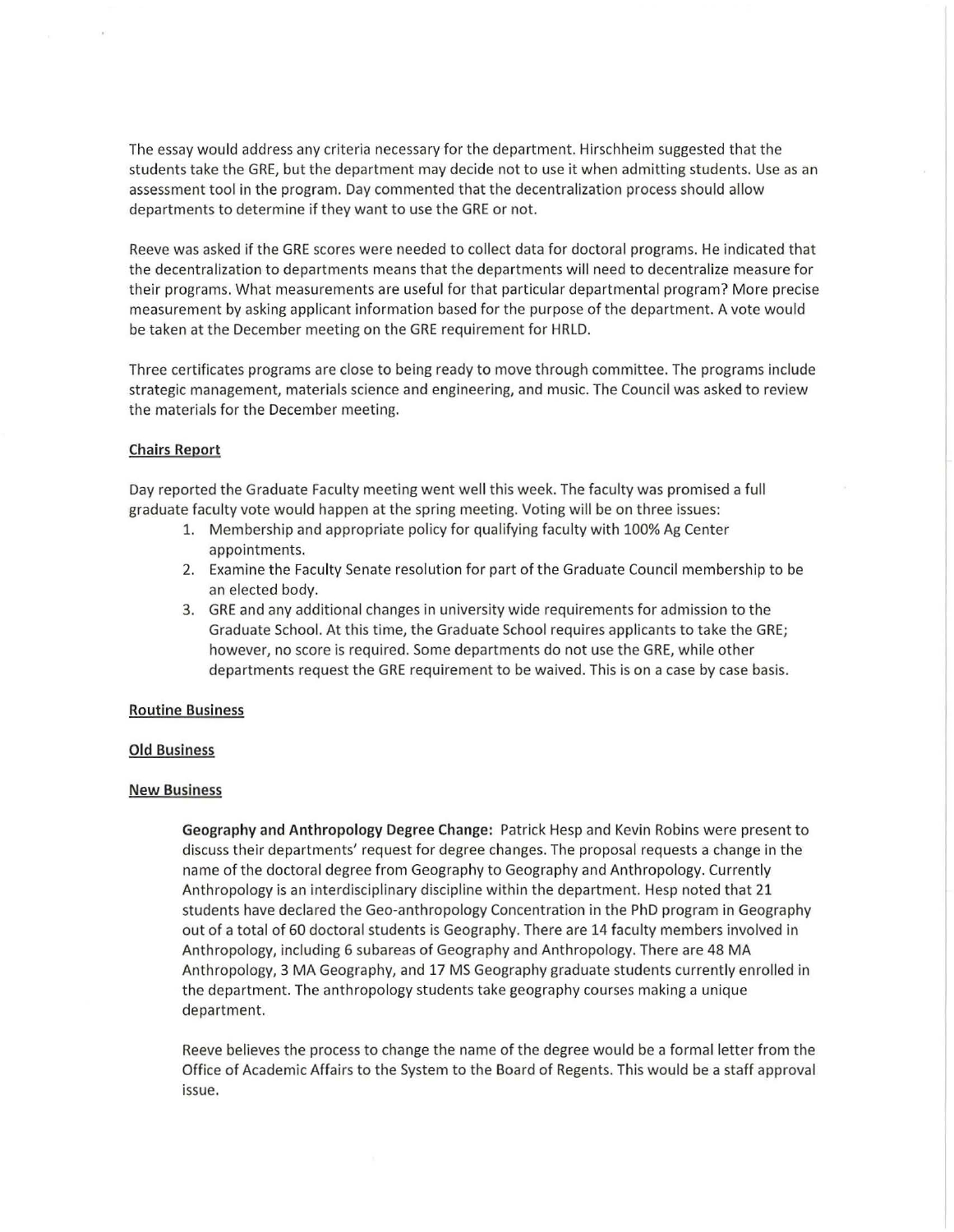The essay would address any criteria necessary for the department. Hirschheim suggested that the students take the GRE, but the department may decide not to use it when admitting students. Use as an assessment tool in the program. Day commented that the decentralization process should allow departments to determine if they want to use the GRE or not.

Reeve was asked if the GRE scores were needed to collect data for doctoral programs. He indicated that the decentralization to departments means that the departments will need to decentralize measure for their programs. What measurements are useful for that particular departmental program? More precise measurement by asking applicant information based for the purpose of the department. A vote would be taken at the December meeting on the GRE requirement for HRLD.

Three certificates programs are close to being ready to move through committee. The programs include strategic management, materials science and engineering, and music. The Council was asked to review the materials for the December meeting.

### Chairs Report

Day reported the Graduate Faculty meeting went well this week. The faculty was promised a full graduate faculty vote would happen at the spring meeting. Voting will be on three issues:

- 1. Membership and appropriate policy for qualifying faculty with 100% Ag Center appointments.
- 2. Examine the Faculty Senate resolution for part of the Graduate Council membership to be an elected body.
- 3. GRE and any additional changes in university wide requirements for admission to the Graduate School. At this time, the Graduate School requires applicants to take the GRE; however, no score is required. Some departments do not use the GRE, while other departments request the GRE requirement to be waived. This is on a case by case basis.

### Routine Business

# Old Business

#### New Business

Geography and Anthropology Degree Change: Patrick Hesp and Kevin Robins were present to discuss their departments' request for degree changes. The proposal requests a change in the name of the doctoral degree from Geography to Geography and Anthropology. Currently Anthropology is an interdisciplinary discipline within the department. Hesp noted that 21 students have declared the Geo-anthropology Concentration in the PhD program in Geography out of a total of 60 doctoral students is Geography. There are 14 faculty members involved in Anthropology, including 6 subareas of Geography and Anthropology. There are 48 MA Anthropology, 3 MA Geography, and 17 MS Geography graduate students currently enrolled in the department. The anthropology students take geography courses making a unique department.

Reeve believes the process to change the name of the degree would be a formal letter from the Office of Academic Affairs to the System to the Board of Regents. This would be a staff approval issue.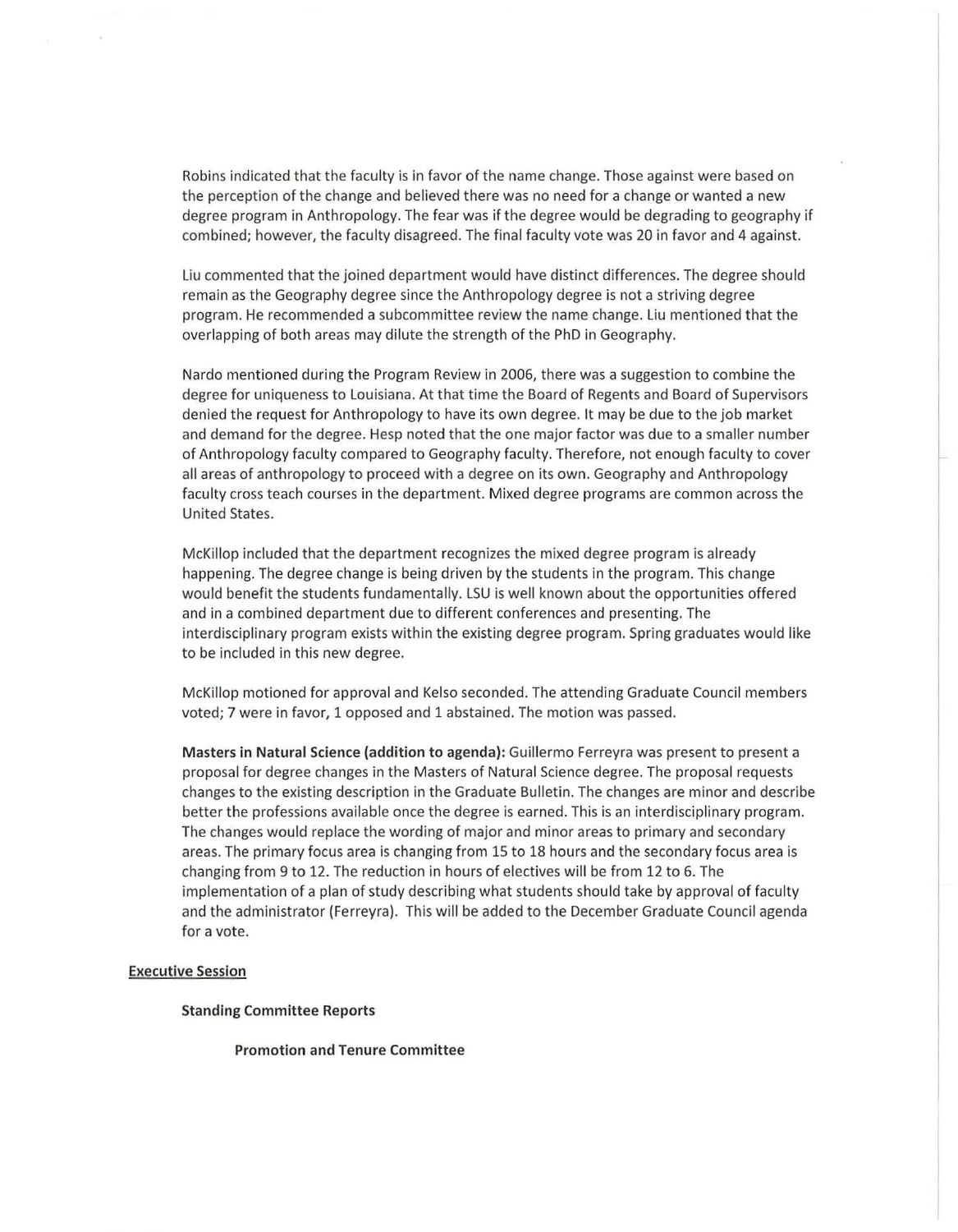Robins indicated that the faculty is in favor of the name change. Those against were based on the perception of the change and believed there was no need for a change or wanted a new degree program in Anthropology. The fear was if the degree would be degrading to geography if combined; however, the faculty disagreed. The final faculty vote was 20 in favor and 4 against.

Liu commented that the joined department would have distinct differences. The degree should remain as the Geography degree since the Anthropology degree is not a striving degree program. He recommended a subcommittee review the name change. Liu mentioned that the overlapping of both areas may dilute the strength of the PhD in Geography.

Nardo mentioned during the Program Review in 2006, there was a suggestion to combine the degree for uniqueness to Louisiana. At that time the Board of Regents and Board of Supervisors denied the request for Anthropology to have its own degree. It may be due to the job market and demand for the degree. Hesp noted that the one major factor was due to a smaller number of Anthropology faculty compared to Geography faculty. Therefore, not enough faculty to cover all areas of anthropology to proceed with a degree on its own. Geography and Anthropology faculty cross teach courses in the department. Mixed degree programs are common across the United States.

McKillop included that the department recognizes the mixed degree program is already happening. The degree change is being driven by the students in the program. This change would benefit the students fundamentally. LSU is well known about the opportunities offered and in a combined department due to different conferences and presenting. The interdisciplinary program exists within the existing degree program. Spring graduates would like to be included in this new degree.

McKillop motioned for approval and Kelso seconded. The attending Graduate Council members voted; 7 were in favor, 1 opposed and 1 abstained. The motion was passed.

Masters in Natural Science (addition to agenda): Guillermo Ferreyra was present to present a proposal for degree changes in the Masters of Natural Science degree. The proposal requests changes to the existing description in the Graduate Bulletin. The changes are minor and describe better the professions available once the degree is earned. This is an interdisciplinary program. The changes would replace the wording of major and minor areas to primary and secondary areas. The primary focus area is changing from 15 to 18 hours and the secondary focus area is changing from 9 to 12. The reduction in hours of electives will be from 12 to 6. The implementation of a plan of study describing what students should take by approval of faculty and the administrator (Ferreyra). This will be added to the December Graduate Council agenda for a vote.

### Executive Session

#### Standing Committee Reports

Promotion and Tenure Committee